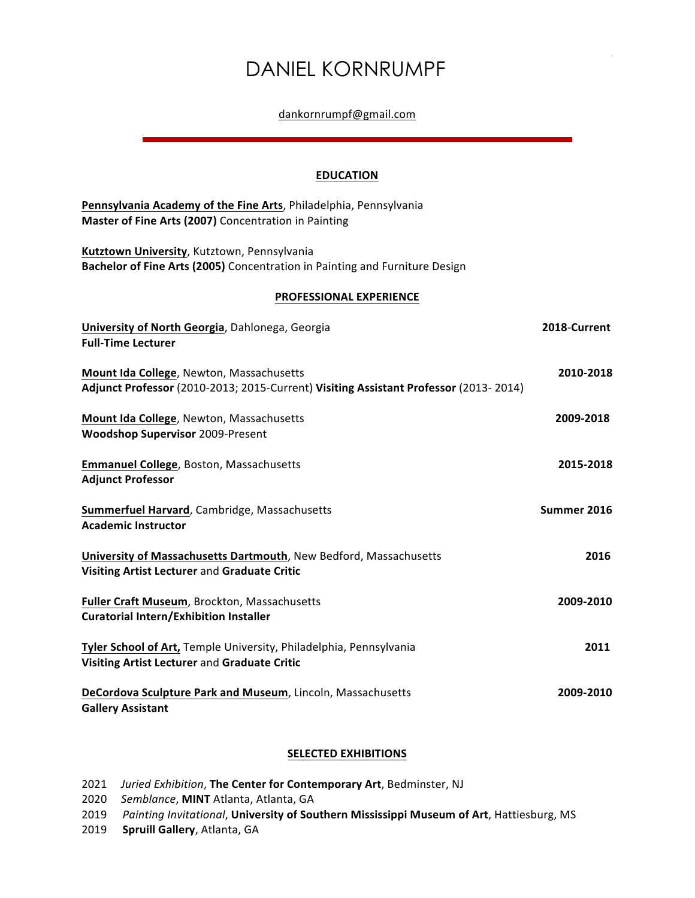# DANIEL KORNRUMPF

#### dankornrumpf@gmail.com

#### **EDUCATION**

| Pennsylvania Academy of the Fine Arts, Philadelphia, Pennsylvania<br>Master of Fine Arts (2007) Concentration in Painting        |              |  |
|----------------------------------------------------------------------------------------------------------------------------------|--------------|--|
| Kutztown University, Kutztown, Pennsylvania<br>Bachelor of Fine Arts (2005) Concentration in Painting and Furniture Design       |              |  |
| PROFESSIONAL EXPERIENCE                                                                                                          |              |  |
| University of North Georgia, Dahlonega, Georgia<br><b>Full-Time Lecturer</b>                                                     | 2018-Current |  |
| Mount Ida College, Newton, Massachusetts<br>Adjunct Professor (2010-2013; 2015-Current) Visiting Assistant Professor (2013-2014) | 2010-2018    |  |
| Mount Ida College, Newton, Massachusetts<br><b>Woodshop Supervisor 2009-Present</b>                                              | 2009-2018    |  |
| Emmanuel College, Boston, Massachusetts<br><b>Adjunct Professor</b>                                                              | 2015-2018    |  |
| <b>Summerfuel Harvard</b> , Cambridge, Massachusetts<br><b>Academic Instructor</b>                                               | Summer 2016  |  |
| University of Massachusetts Dartmouth, New Bedford, Massachusetts<br>Visiting Artist Lecturer and Graduate Critic                | 2016         |  |
| Fuller Craft Museum, Brockton, Massachusetts<br><b>Curatorial Intern/Exhibition Installer</b>                                    | 2009-2010    |  |
| Tyler School of Art, Temple University, Philadelphia, Pennsylvania<br>Visiting Artist Lecturer and Graduate Critic               | 2011         |  |
| DeCordova Sculpture Park and Museum, Lincoln, Massachusetts<br><b>Gallery Assistant</b>                                          | 2009-2010    |  |

## **SELECTED EXHIBITIONS**

- 2021 *Juried Exhibition*, The Center for Contemporary Art, Bedminster, NJ
- 2020 Semblance, MINT Atlanta, Atlanta, GA

2019 Painting Invitational, University of Southern Mississippi Museum of Art, Hattiesburg, MS

2019 **Spruill Gallery**, Atlanta, GA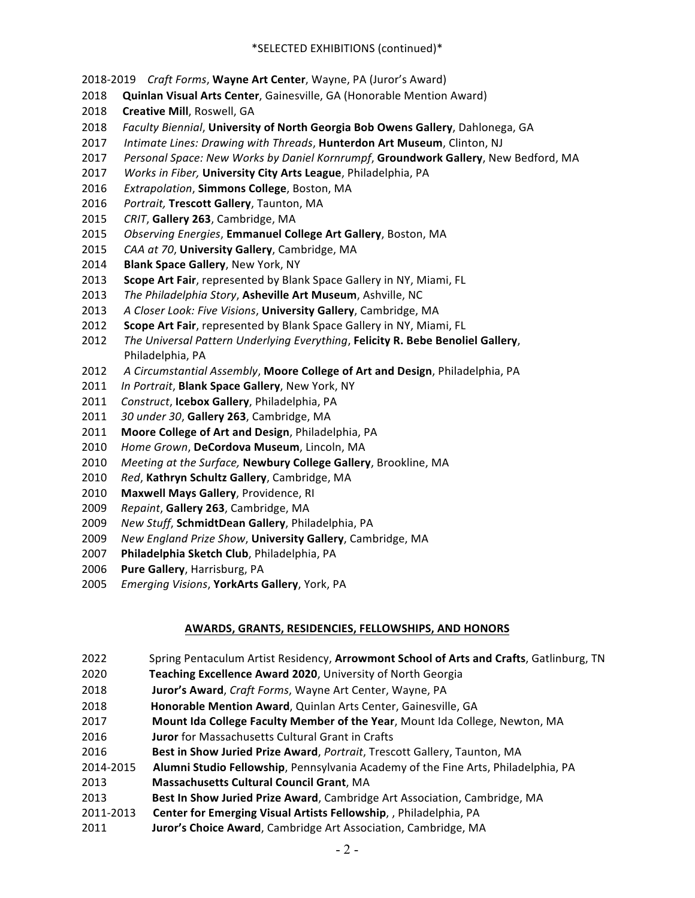- 2018-2019 Craft Forms, Wayne Art Center, Wayne, PA (Juror's Award)
- 2018 **Quinlan Visual Arts Center**, Gainesville, GA (Honorable Mention Award)
- 2018 **Creative Mill**, Roswell, GA
- 2018 Faculty Biennial, University of North Georgia Bob Owens Gallery, Dahlonega, GA
- 2017 Intimate Lines: Drawing with Threads, Hunterdon Art Museum, Clinton, NJ
- 2017 *Personal Space: New Works by Daniel Kornrumpf*, **Groundwork Gallery**, New Bedford, MA
- 2017 Works in Fiber, University City Arts League, Philadelphia, PA
- 2016 Extrapolation, **Simmons College**, Boston, MA
- 2016 Portrait, Trescott Gallery, Taunton, MA
- 2015 CRIT, Gallery 263, Cambridge, MA
- 2015 Observing Energies, **Emmanuel College Art Gallery**, Boston, MA
- 2015 CAA at 70, University Gallery, Cambridge, MA
- 2014 **Blank Space Gallery**, New York, NY
- 2013 Scope Art Fair, represented by Blank Space Gallery in NY, Miami, FL
- 2013 The Philadelphia Story, Asheville Art Museum, Ashville, NC
- 2013 A Closer Look: Five Visions, University Gallery, Cambridge, MA
- **2012 Scope Art Fair**, represented by Blank Space Gallery in NY, Miami, FL
- 2012 The Universal Pattern Underlying Everything, Felicity R. Bebe Benoliel Gallery, Philadelphia, PA
- 2012 A Circumstantial Assembly, Moore College of Art and Design, Philadelphia, PA
- 2011 In Portrait, **Blank Space Gallery**, New York, NY
- 2011 Construct, **Icebox Gallery**, Philadelphia, PA
- 2011 30 under 30, Gallery 263, Cambridge, MA
- 2011 Moore College of Art and Design, Philadelphia, PA
- 2010 Home Grown, DeCordova Museum, Lincoln, MA
- 2010 Meeting at the Surface, **Newbury College Gallery**, Brookline, MA
- 2010 Red, Kathryn Schultz Gallery, Cambridge, MA
- 2010 Maxwell Mays Gallery, Providence, RI
- 2009 Repaint, Gallery 263, Cambridge, MA
- 2009 New Stuff, SchmidtDean Gallery, Philadelphia, PA
- 2009 New England Prize Show, University Gallery, Cambridge, MA
- 2007 Philadelphia Sketch Club, Philadelphia, PA
- 2006 **Pure Gallery**, Harrisburg, PA
- 2005 Emerging Visions, YorkArts Gallery, York, PA

## **AWARDS, GRANTS, RESIDENCIES, FELLOWSHIPS, AND HONORS**

- 2022 Spring Pentaculum Artist Residency, **Arrowmont School of Arts and Crafts**, Gatlinburg, TN
- 2020 **Teaching Excellence Award 2020**, University of North Georgia
- 2018 **Juror's Award**, *Craft Forms*, Wayne Art Center, Wayne, PA
- 2018 **Honorable Mention Award**, Quinlan Arts Center, Gainesville, GA
- **2017 Mount Ida College Faculty Member of the Year**, Mount Ida College, Newton, MA
- 2016 **Juror** for Massachusetts Cultural Grant in Crafts
- **2016 Best in Show Juried Prize Award**, *Portrait*, Trescott Gallery, Taunton, MA
- 2014-2015 **Alumni Studio Fellowship**, Pennsylvania Academy of the Fine Arts, Philadelphia, PA
- **2013** Massachusetts Cultural Council Grant, MA
- 2013 **Best In Show Juried Prize Award**, Cambridge Art Association, Cambridge, MA
- 2011-2013 **Center for Emerging Visual Artists Fellowship**, , Philadelphia, PA
- 2011 **Juror's Choice Award**, Cambridge Art Association, Cambridge, MA